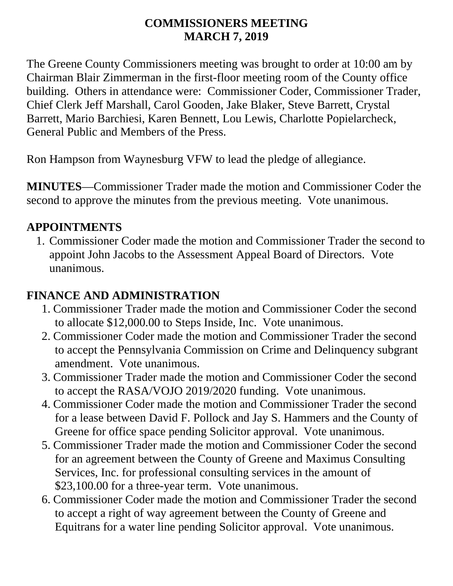#### **COMMISSIONERS MEETING MARCH 7, 2019**

The Greene County Commissioners meeting was brought to order at 10:00 am by Chairman Blair Zimmerman in the first-floor meeting room of the County office building. Others in attendance were: Commissioner Coder, Commissioner Trader, Chief Clerk Jeff Marshall, Carol Gooden, Jake Blaker, Steve Barrett, Crystal Barrett, Mario Barchiesi, Karen Bennett, Lou Lewis, Charlotte Popielarcheck, General Public and Members of the Press.

Ron Hampson from Waynesburg VFW to lead the pledge of allegiance.

**MINUTES**—Commissioner Trader made the motion and Commissioner Coder the second to approve the minutes from the previous meeting. Vote unanimous.

#### **APPOINTMENTS**

1. Commissioner Coder made the motion and Commissioner Trader the second to appoint John Jacobs to the Assessment Appeal Board of Directors. Vote unanimous.

### **FINANCE AND ADMINISTRATION**

- 1. Commissioner Trader made the motion and Commissioner Coder the second to allocate \$12,000.00 to Steps Inside, Inc. Vote unanimous.
- 2. Commissioner Coder made the motion and Commissioner Trader the second to accept the Pennsylvania Commission on Crime and Delinquency subgrant amendment. Vote unanimous.
- 3. Commissioner Trader made the motion and Commissioner Coder the second to accept the RASA/VOJO 2019/2020 funding. Vote unanimous.
- 4. Commissioner Coder made the motion and Commissioner Trader the second for a lease between David F. Pollock and Jay S. Hammers and the County of Greene for office space pending Solicitor approval. Vote unanimous.
- 5. Commissioner Trader made the motion and Commissioner Coder the second for an agreement between the County of Greene and Maximus Consulting Services, Inc. for professional consulting services in the amount of \$23,100.00 for a three-year term. Vote unanimous.
- 6. Commissioner Coder made the motion and Commissioner Trader the second to accept a right of way agreement between the County of Greene and Equitrans for a water line pending Solicitor approval. Vote unanimous.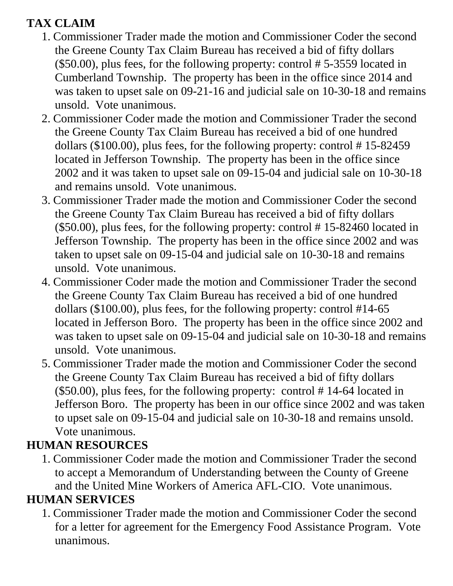# **TAX CLAIM**

- 1. Commissioner Trader made the motion and Commissioner Coder the second the Greene County Tax Claim Bureau has received a bid of fifty dollars (\$50.00), plus fees, for the following property: control # 5-3559 located in Cumberland Township. The property has been in the office since 2014 and was taken to upset sale on 09-21-16 and judicial sale on 10-30-18 and remains unsold. Vote unanimous.
- 2. Commissioner Coder made the motion and Commissioner Trader the second the Greene County Tax Claim Bureau has received a bid of one hundred dollars (\$100.00), plus fees, for the following property: control # 15-82459 located in Jefferson Township. The property has been in the office since 2002 and it was taken to upset sale on 09-15-04 and judicial sale on 10-30-18 and remains unsold. Vote unanimous.
- 3. Commissioner Trader made the motion and Commissioner Coder the second the Greene County Tax Claim Bureau has received a bid of fifty dollars (\$50.00), plus fees, for the following property: control # 15-82460 located in Jefferson Township. The property has been in the office since 2002 and was taken to upset sale on 09-15-04 and judicial sale on 10-30-18 and remains unsold. Vote unanimous.
- 4. Commissioner Coder made the motion and Commissioner Trader the second the Greene County Tax Claim Bureau has received a bid of one hundred dollars (\$100.00), plus fees, for the following property: control #14-65 located in Jefferson Boro. The property has been in the office since 2002 and was taken to upset sale on 09-15-04 and judicial sale on 10-30-18 and remains unsold. Vote unanimous.
- 5. Commissioner Trader made the motion and Commissioner Coder the second the Greene County Tax Claim Bureau has received a bid of fifty dollars (\$50.00), plus fees, for the following property: control # 14-64 located in Jefferson Boro. The property has been in our office since 2002 and was taken to upset sale on 09-15-04 and judicial sale on 10-30-18 and remains unsold. Vote unanimous.

# **HUMAN RESOURCES**

1. Commissioner Coder made the motion and Commissioner Trader the second to accept a Memorandum of Understanding between the County of Greene and the United Mine Workers of America AFL-CIO. Vote unanimous.

## **HUMAN SERVICES**

1. Commissioner Trader made the motion and Commissioner Coder the second for a letter for agreement for the Emergency Food Assistance Program. Vote unanimous.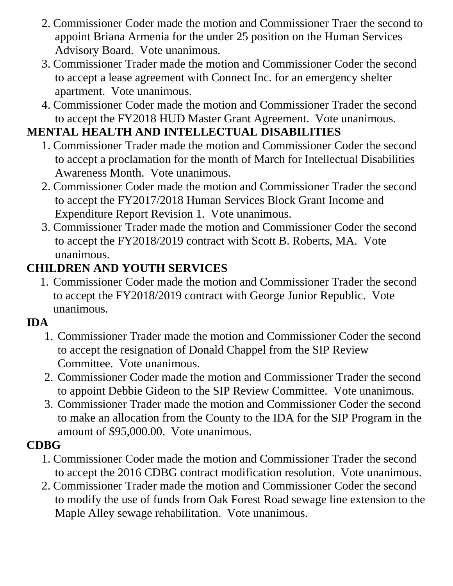- 2. Commissioner Coder made the motion and Commissioner Traer the second to appoint Briana Armenia for the under 25 position on the Human Services Advisory Board. Vote unanimous.
- 3. Commissioner Trader made the motion and Commissioner Coder the second to accept a lease agreement with Connect Inc. for an emergency shelter apartment. Vote unanimous.
- 4. Commissioner Coder made the motion and Commissioner Trader the second to accept the FY2018 HUD Master Grant Agreement. Vote unanimous.

# **MENTAL HEALTH AND INTELLECTUAL DISABILITIES**

- 1. Commissioner Trader made the motion and Commissioner Coder the second to accept a proclamation for the month of March for Intellectual Disabilities Awareness Month. Vote unanimous.
- 2. Commissioner Coder made the motion and Commissioner Trader the second to accept the FY2017/2018 Human Services Block Grant Income and Expenditure Report Revision 1. Vote unanimous.
- 3. Commissioner Trader made the motion and Commissioner Coder the second to accept the FY2018/2019 contract with Scott B. Roberts, MA. Vote unanimous.

# **CHILDREN AND YOUTH SERVICES**

1. Commissioner Coder made the motion and Commissioner Trader the second to accept the FY2018/2019 contract with George Junior Republic. Vote unanimous.

## **IDA**

- 1. Commissioner Trader made the motion and Commissioner Coder the second to accept the resignation of Donald Chappel from the SIP Review Committee. Vote unanimous.
- 2. Commissioner Coder made the motion and Commissioner Trader the second to appoint Debbie Gideon to the SIP Review Committee. Vote unanimous.
- 3. Commissioner Trader made the motion and Commissioner Coder the second to make an allocation from the County to the IDA for the SIP Program in the amount of \$95,000.00. Vote unanimous.

# **CDBG**

- 1. Commissioner Coder made the motion and Commissioner Trader the second to accept the 2016 CDBG contract modification resolution. Vote unanimous.
- 2. Commissioner Trader made the motion and Commissioner Coder the second to modify the use of funds from Oak Forest Road sewage line extension to the Maple Alley sewage rehabilitation. Vote unanimous.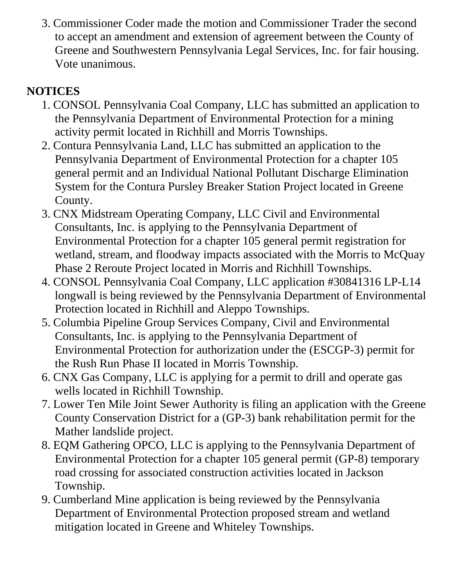3. Commissioner Coder made the motion and Commissioner Trader the second to accept an amendment and extension of agreement between the County of Greene and Southwestern Pennsylvania Legal Services, Inc. for fair housing. Vote unanimous.

# **NOTICES**

- 1. CONSOL Pennsylvania Coal Company, LLC has submitted an application to the Pennsylvania Department of Environmental Protection for a mining activity permit located in Richhill and Morris Townships.
- 2. Contura Pennsylvania Land, LLC has submitted an application to the Pennsylvania Department of Environmental Protection for a chapter 105 general permit and an Individual National Pollutant Discharge Elimination System for the Contura Pursley Breaker Station Project located in Greene County.
- 3. CNX Midstream Operating Company, LLC Civil and Environmental Consultants, Inc. is applying to the Pennsylvania Department of Environmental Protection for a chapter 105 general permit registration for wetland, stream, and floodway impacts associated with the Morris to McQuay Phase 2 Reroute Project located in Morris and Richhill Townships.
- 4. CONSOL Pennsylvania Coal Company, LLC application #30841316 LP-L14 longwall is being reviewed by the Pennsylvania Department of Environmental Protection located in Richhill and Aleppo Townships.
- 5. Columbia Pipeline Group Services Company, Civil and Environmental Consultants, Inc. is applying to the Pennsylvania Department of Environmental Protection for authorization under the (ESCGP-3) permit for the Rush Run Phase II located in Morris Township.
- 6. CNX Gas Company, LLC is applying for a permit to drill and operate gas wells located in Richhill Township.
- 7. Lower Ten Mile Joint Sewer Authority is filing an application with the Greene County Conservation District for a (GP-3) bank rehabilitation permit for the Mather landslide project.
- 8. EQM Gathering OPCO, LLC is applying to the Pennsylvania Department of Environmental Protection for a chapter 105 general permit (GP-8) temporary road crossing for associated construction activities located in Jackson Township.
- 9. Cumberland Mine application is being reviewed by the Pennsylvania Department of Environmental Protection proposed stream and wetland mitigation located in Greene and Whiteley Townships.